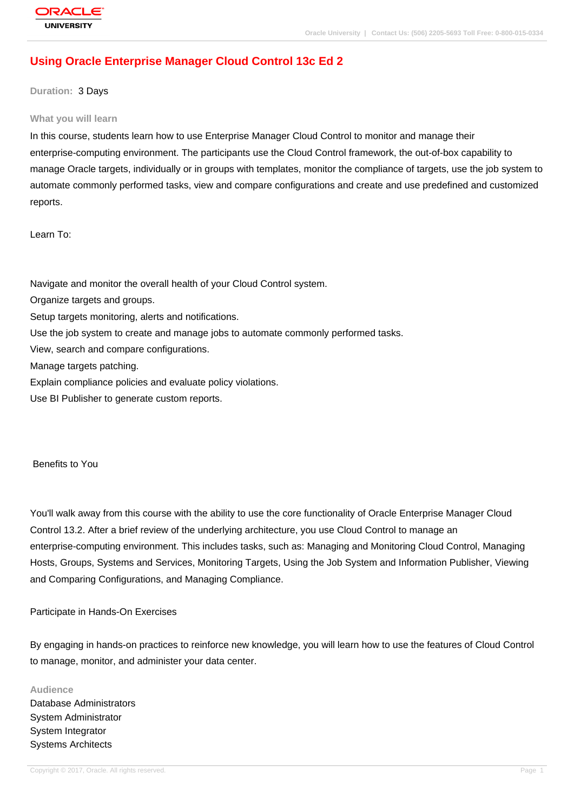# **[Using Oracle E](http://education.oracle.com/pls/web_prod-plq-dad/db_pages.getpage?page_id=3)nterprise Manager Cloud Control 13c Ed 2**

#### **Duration:** 3 Days

#### **What you will learn**

In this course, students learn how to use Enterprise Manager Cloud Control to monitor and manage their enterprise-computing environment. The participants use the Cloud Control framework, the out-of-box capability to manage Oracle targets, individually or in groups with templates, monitor the compliance of targets, use the job system to automate commonly performed tasks, view and compare configurations and create and use predefined and customized reports.

Learn To:

Navigate and monitor the overall health of your Cloud Control system.

Organize targets and groups.

Setup targets monitoring, alerts and notifications.

Use the job system to create and manage jobs to automate commonly performed tasks.

View, search and compare configurations.

Manage targets patching.

Explain compliance policies and evaluate policy violations.

Use BI Publisher to generate custom reports.

Benefits to You

You'll walk away from this course with the ability to use the core functionality of Oracle Enterprise Manager Cloud Control 13.2. After a brief review of the underlying architecture, you use Cloud Control to manage an enterprise-computing environment. This includes tasks, such as: Managing and Monitoring Cloud Control, Managing Hosts, Groups, Systems and Services, Monitoring Targets, Using the Job System and Information Publisher, Viewing and Comparing Configurations, and Managing Compliance.

#### Participate in Hands-On Exercises

By engaging in hands-on practices to reinforce new knowledge, you will learn how to use the features of Cloud Control to manage, monitor, and administer your data center.

#### **Audience**

Database Administrators System Administrator System Integrator Systems Architects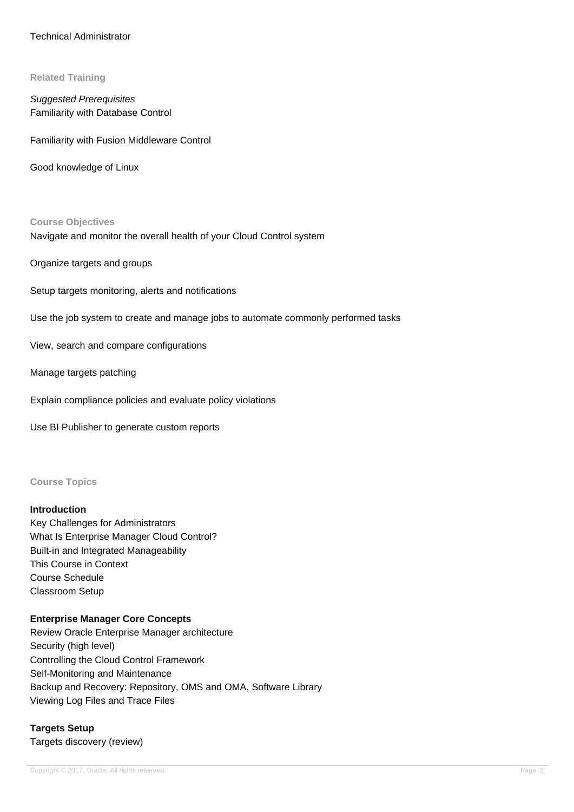### Technical Administrator

#### **Related Training**

Suggested Prerequisites Familiarity with Database Control

Familiarity with Fusion Middleware Control

Good knowledge of Linux

#### **Course Objectives**

Navigate and monitor the overall health of your Cloud Control system

Organize targets and groups

Setup targets monitoring, alerts and notifications

Use the job system to create and manage jobs to automate commonly performed tasks

View, search and compare configurations

Manage targets patching

Explain compliance policies and evaluate policy violations

Use BI Publisher to generate custom reports

#### **Course Topics**

#### **Introduction**

Key Challenges for Administrators What Is Enterprise Manager Cloud Control? Built-in and Integrated Manageability This Course in Context Course Schedule Classroom Setup

## **Enterprise Manager Core Concepts**

Review Oracle Enterprise Manager architecture Security (high level) Controlling the Cloud Control Framework Self-Monitoring and Maintenance Backup and Recovery: Repository, OMS and OMA, Software Library Viewing Log Files and Trace Files

**Targets Setup** Targets discovery (review)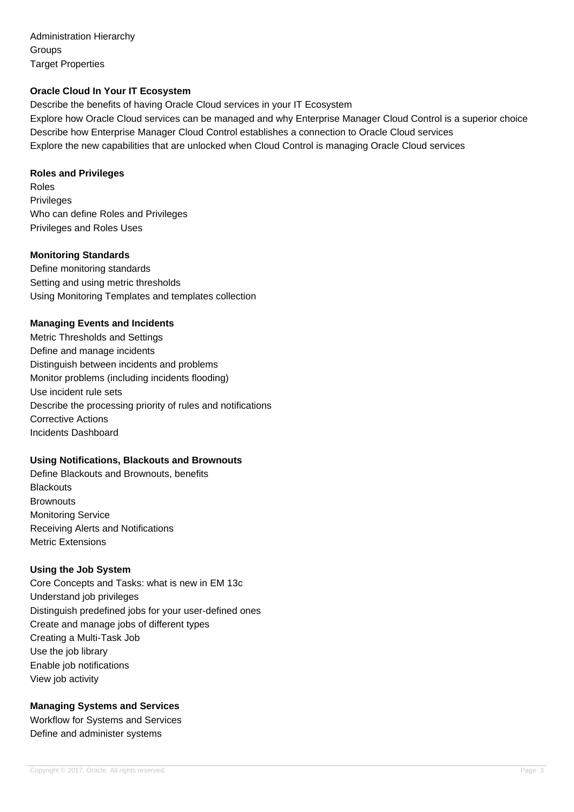Administration Hierarchy **Groups** Target Properties

### **Oracle Cloud In Your IT Ecosystem**

Describe the benefits of having Oracle Cloud services in your IT Ecosystem Explore how Oracle Cloud services can be managed and why Enterprise Manager Cloud Control is a superior choice Describe how Enterprise Manager Cloud Control establishes a connection to Oracle Cloud services Explore the new capabilities that are unlocked when Cloud Control is managing Oracle Cloud services

### **Roles and Privileges**

Roles Privileges Who can define Roles and Privileges Privileges and Roles Uses

### **Monitoring Standards**

Define monitoring standards Setting and using metric thresholds Using Monitoring Templates and templates collection

### **Managing Events and Incidents**

Metric Thresholds and Settings Define and manage incidents Distinguish between incidents and problems Monitor problems (including incidents flooding) Use incident rule sets Describe the processing priority of rules and notifications Corrective Actions Incidents Dashboard

# **Using Notifications, Blackouts and Brownouts**

Define Blackouts and Brownouts, benefits **Blackouts Brownouts** Monitoring Service Receiving Alerts and Notifications Metric Extensions

### **Using the Job System**

Core Concepts and Tasks: what is new in EM 13c Understand job privileges Distinguish predefined jobs for your user-defined ones Create and manage jobs of different types Creating a Multi-Task Job Use the job library Enable job notifications View job activity

# **Managing Systems and Services**

Workflow for Systems and Services Define and administer systems